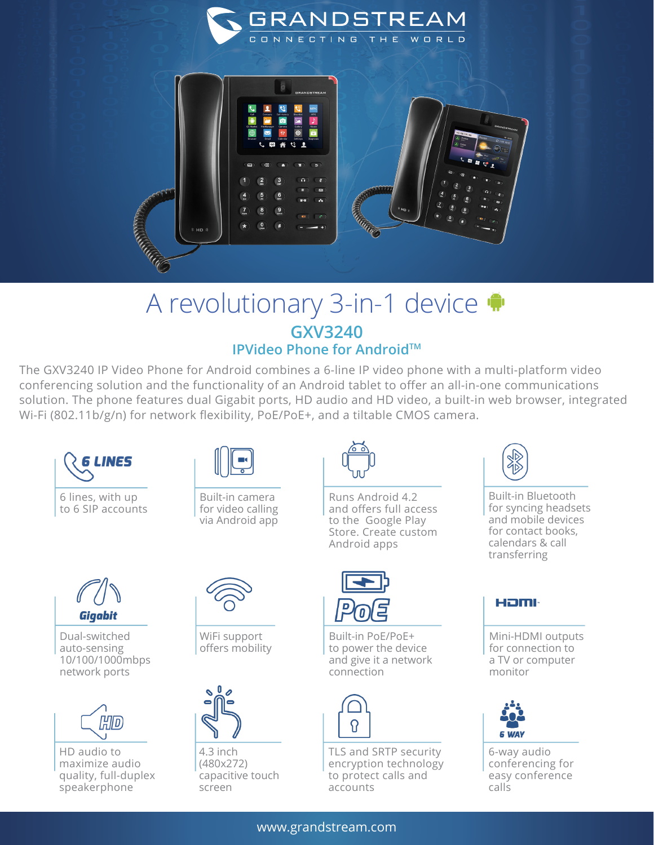

## A revolutionary 3-in-1 device **GXV3240 IPVideo Phone for Android™**

The GXV3240 IP Video Phone for Android combines a 6-line IP video phone with a multi-platform video conferencing solution and the functionality of an Android tablet to offer an all-in-one communications solution. The phone features dual Gigabit ports, HD audio and HD video, a built-in web browser, integrated Wi-Fi (802.11b/g/n) for network flexibility, PoE/PoE+, and a tiltable CMOS camera.



6 lines, with up to 6 SIP accounts



Built-in camera for video calling via Android app



Runs Android 4.2 and offers full access to the Google Play Store. Create custom Android apps



Dual-switched auto-sensing 10/100/1000mbps network ports



HD audio to maximize audio quality, full-duplex speakerphone



WiFi support offers mobility



4.3 inch (480x272) capacitive touch screen



Built-in PoE/PoE+ to power the device and give it a network connection



TLS and SRTP security encryption technology to protect calls and accounts



Built-in Bluetooth for syncing headsets and mobile devices for contact books, calendars & call transferring

## Həml

Mini-HDMI outputs for connection to a TV or computer monitor



6-way audio conferencing for easy conference calls